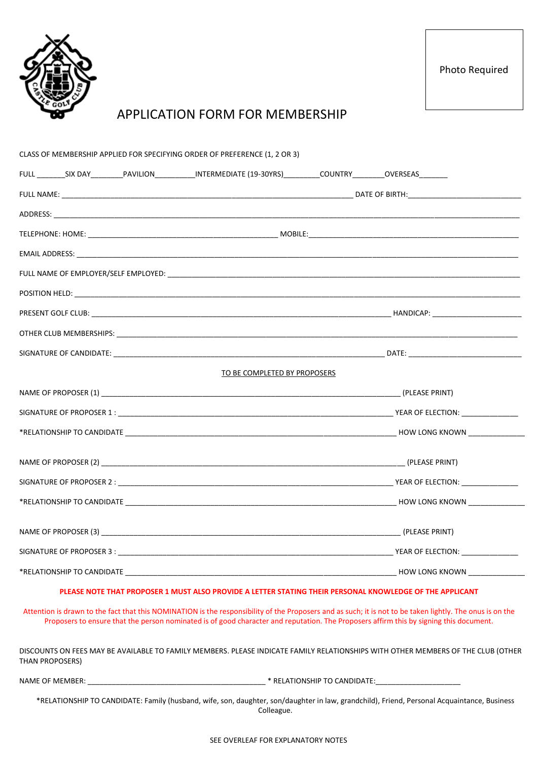

Photo Required

# APPLICATION FORM FOR MEMBERSHIP

|  |                 |  | CLASS OF MEMBERSHIP APPLIED FOR SPECIFYING ORDER OF PREFERENCE (1, 2 OR 3)                                           |                                                                                                                                                                                                                                                                                                     |
|--|-----------------|--|----------------------------------------------------------------------------------------------------------------------|-----------------------------------------------------------------------------------------------------------------------------------------------------------------------------------------------------------------------------------------------------------------------------------------------------|
|  |                 |  | FULL _________SIX DAY__________PAVILION____________INTERMEDIATE (19-30YRS)__________COUNTRY_________OVERSEAS________ |                                                                                                                                                                                                                                                                                                     |
|  |                 |  |                                                                                                                      |                                                                                                                                                                                                                                                                                                     |
|  |                 |  |                                                                                                                      |                                                                                                                                                                                                                                                                                                     |
|  |                 |  |                                                                                                                      |                                                                                                                                                                                                                                                                                                     |
|  |                 |  |                                                                                                                      |                                                                                                                                                                                                                                                                                                     |
|  |                 |  |                                                                                                                      |                                                                                                                                                                                                                                                                                                     |
|  |                 |  |                                                                                                                      |                                                                                                                                                                                                                                                                                                     |
|  |                 |  |                                                                                                                      |                                                                                                                                                                                                                                                                                                     |
|  |                 |  |                                                                                                                      |                                                                                                                                                                                                                                                                                                     |
|  |                 |  |                                                                                                                      |                                                                                                                                                                                                                                                                                                     |
|  |                 |  | TO BE COMPLETED BY PROPOSERS                                                                                         |                                                                                                                                                                                                                                                                                                     |
|  |                 |  |                                                                                                                      |                                                                                                                                                                                                                                                                                                     |
|  |                 |  |                                                                                                                      |                                                                                                                                                                                                                                                                                                     |
|  |                 |  |                                                                                                                      |                                                                                                                                                                                                                                                                                                     |
|  |                 |  |                                                                                                                      |                                                                                                                                                                                                                                                                                                     |
|  |                 |  |                                                                                                                      |                                                                                                                                                                                                                                                                                                     |
|  |                 |  |                                                                                                                      |                                                                                                                                                                                                                                                                                                     |
|  |                 |  |                                                                                                                      |                                                                                                                                                                                                                                                                                                     |
|  |                 |  |                                                                                                                      |                                                                                                                                                                                                                                                                                                     |
|  |                 |  |                                                                                                                      |                                                                                                                                                                                                                                                                                                     |
|  |                 |  |                                                                                                                      |                                                                                                                                                                                                                                                                                                     |
|  |                 |  | PLEASE NOTE THAT PROPOSER 1 MUST ALSO PROVIDE A LETTER STATING THEIR PERSONAL KNOWLEDGE OF THE APPLICANT             |                                                                                                                                                                                                                                                                                                     |
|  |                 |  |                                                                                                                      | Attention is drawn to the fact that this NOMINATION is the responsibility of the Proposers and as such; it is not to be taken lightly. The onus is on the<br>Proposers to ensure that the person nominated is of good character and reputation. The Proposers affirm this by signing this document. |
|  | THAN PROPOSERS) |  |                                                                                                                      | DISCOUNTS ON FEES MAY BE AVAILABLE TO FAMILY MEMBERS. PLEASE INDICATE FAMILY RELATIONSHIPS WITH OTHER MEMBERS OF THE CLUB (OTHER                                                                                                                                                                    |
|  |                 |  |                                                                                                                      |                                                                                                                                                                                                                                                                                                     |
|  |                 |  | Colleague.                                                                                                           | *RELATIONSHIP TO CANDIDATE: Family (husband, wife, son, daughter, son/daughter in law, grandchild), Friend, Personal Acquaintance, Business                                                                                                                                                         |